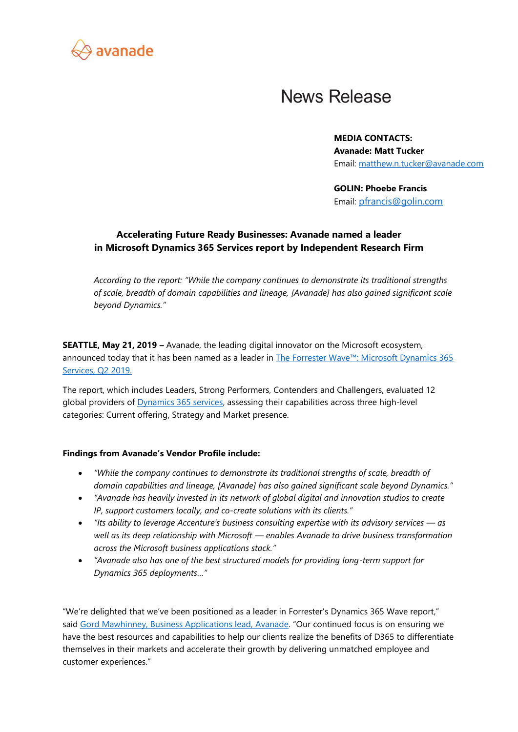

## **News Release**

**MEDIA CONTACTS: Avanade: Matt Tucker** Email: [matthew.n.tucker@avanade.com](mailto:matthew.n.tucker@avanade.com)

**GOLIN: Phoebe Francis** Email: [pfrancis@golin.com](mailto:pfrancis@golin.com)

## **Accelerating Future Ready Businesses: Avanade named a leader in Microsoft Dynamics 365 Services report by Independent Research Firm**

*According to the report: "While the company continues to demonstrate its traditional strengths of scale, breadth of domain capabilities and lineage, [Avanade] has also gained significant scale beyond Dynamics."*

**SEATTLE, May 21, 2019 –** Avanade, the leading digital innovator on the Microsoft ecosystem, announced today that it has been named as a leader in [The Forrester Wave™: Microsoft Dynamics 365](https://www.avanade.com/en/thinking/research-and-insights/forrester-wave-report)  [Services, Q2](https://www.avanade.com/en/thinking/research-and-insights/forrester-wave-report) 2019.

The report, which includes Leaders, Strong Performers, Contenders and Challengers, evaluated 12 global providers of *Dynamics 365 services*, assessing their capabilities across three high-level categories: Current offering, Strategy and Market presence.

## **Findings from Avanade's Vendor Profile include:**

- *"While the company continues to demonstrate its traditional strengths of scale, breadth of domain capabilities and lineage, [Avanade] has also gained significant scale beyond Dynamics."*
- *"Avanade has heavily invested in its network of global digital and innovation studios to create IP, support customers locally, and co-create solutions with its clients."*
- *"Its ability to leverage Accenture's business consulting expertise with its advisory services — as well as its deep relationship with Microsoft — enables Avanade to drive business transformation across the Microsoft business applications stack."*
- *"Avanade also has one of the best structured models for providing long-term support for Dynamics 365 deployments…"*

"We're delighted that we've been positioned as a leader in Forrester's Dynamics 365 Wave report," said [Gord Mawhinney, Business Applications lead, Avanade.](https://www.avanade.com/en/about-avanade/leadership/our-business/gord-mawhinney) "Our continued focus is on ensuring we have the best resources and capabilities to help our clients realize the benefits of D365 to differentiate themselves in their markets and accelerate their growth by delivering unmatched employee and customer experiences."